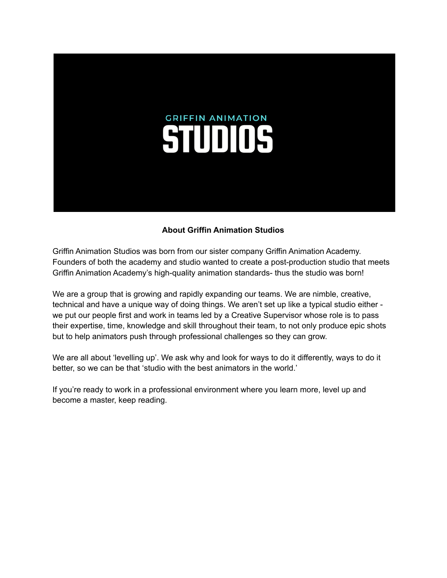

### **About Griffin Animation Studios**

Griffin Animation Studios was born from our sister company Griffin Animation Academy. Founders of both the academy and studio wanted to create a post-production studio that meets Griffin Animation Academy's high-quality animation standards- thus the studio was born!

We are a group that is growing and rapidly expanding our teams. We are nimble, creative, technical and have a unique way of doing things. We aren't set up like a typical studio either we put our people first and work in teams led by a Creative Supervisor whose role is to pass their expertise, time, knowledge and skill throughout their team, to not only produce epic shots but to help animators push through professional challenges so they can grow.

We are all about 'levelling up'. We ask why and look for ways to do it differently, ways to do it better, so we can be that 'studio with the best animators in the world.'

If you're ready to work in a professional environment where you learn more, level up and become a master, keep reading.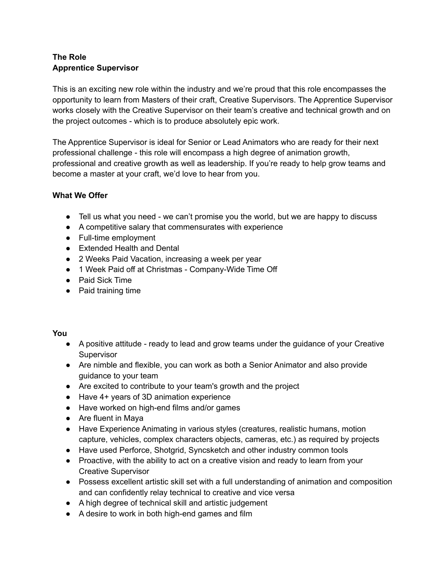# **The Role Apprentice Supervisor**

This is an exciting new role within the industry and we're proud that this role encompasses the opportunity to learn from Masters of their craft, Creative Supervisors. The Apprentice Supervisor works closely with the Creative Supervisor on their team's creative and technical growth and on the project outcomes - which is to produce absolutely epic work.

The Apprentice Supervisor is ideal for Senior or Lead Animators who are ready for their next professional challenge - this role will encompass a high degree of animation growth, professional and creative growth as well as leadership. If you're ready to help grow teams and become a master at your craft, we'd love to hear from you.

## **What We Offer**

- Tell us what you need we can't promise you the world, but we are happy to discuss
- A competitive salary that commensurates with experience
- Full-time employment
- Extended Health and Dental
- 2 Weeks Paid Vacation, increasing a week per year
- 1 Week Paid off at Christmas Company-Wide Time Off
- Paid Sick Time
- Paid training time

## **You**

- A positive attitude ready to lead and grow teams under the guidance of your Creative **Supervisor**
- Are nimble and flexible, you can work as both a Senior Animator and also provide guidance to your team
- Are excited to contribute to your team's growth and the project
- Have 4+ years of 3D animation experience
- Have worked on high-end films and/or games
- Are fluent in Maya
- Have Experience Animating in various styles (creatures, realistic humans, motion capture, vehicles, complex characters objects, cameras, etc.) as required by projects
- Have used Perforce, Shotgrid, Syncsketch and other industry common tools
- Proactive, with the ability to act on a creative vision and ready to learn from your Creative Supervisor
- Possess excellent artistic skill set with a full understanding of animation and composition and can confidently relay technical to creative and vice versa
- A high degree of technical skill and artistic judgement
- A desire to work in both high-end games and film